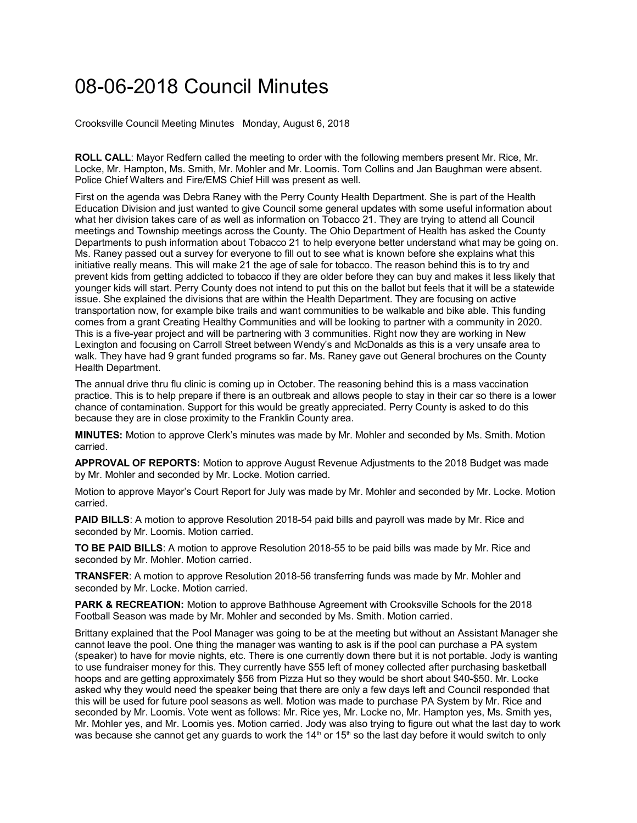## 08-06-2018 Council Minutes

Crooksville Council Meeting Minutes Monday, August 6, 2018

**ROLL CALL**: Mayor Redfern called the meeting to order with the following members present Mr. Rice, Mr. Locke, Mr. Hampton, Ms. Smith, Mr. Mohler and Mr. Loomis. Tom Collins and Jan Baughman were absent. Police Chief Walters and Fire/EMS Chief Hill was present as well.

First on the agenda was Debra Raney with the Perry County Health Department. She is part of the Health Education Division and just wanted to give Council some general updates with some useful information about what her division takes care of as well as information on Tobacco 21. They are trying to attend all Council meetings and Township meetings across the County. The Ohio Department of Health has asked the County Departments to push information about Tobacco 21 to help everyone better understand what may be going on. Ms. Raney passed out a survey for everyone to fill out to see what is known before she explains what this initiative really means. This will make 21 the age of sale for tobacco. The reason behind this is to try and prevent kids from getting addicted to tobacco if they are older before they can buy and makes it less likely that younger kids will start. Perry County does not intend to put this on the ballot but feels that it will be a statewide issue. She explained the divisions that are within the Health Department. They are focusing on active transportation now, for example bike trails and want communities to be walkable and bike able. This funding comes from a grant Creating Healthy Communities and will be looking to partner with a community in 2020. This is a five-year project and will be partnering with 3 communities. Right now they are working in New Lexington and focusing on Carroll Street between Wendy's and McDonalds as this is a very unsafe area to walk. They have had 9 grant funded programs so far. Ms. Raney gave out General brochures on the County Health Department.

The annual drive thru flu clinic is coming up in October. The reasoning behind this is a mass vaccination practice. This is to help prepare if there is an outbreak and allows people to stay in their car so there is a lower chance of contamination. Support for this would be greatly appreciated. Perry County is asked to do this because they are in close proximity to the Franklin County area.

**MINUTES:** Motion to approve Clerk's minutes was made by Mr. Mohler and seconded by Ms. Smith. Motion carried.

**APPROVAL OF REPORTS:** Motion to approve August Revenue Adjustments to the 2018 Budget was made by Mr. Mohler and seconded by Mr. Locke. Motion carried.

Motion to approve Mayor's Court Report for July was made by Mr. Mohler and seconded by Mr. Locke. Motion carried.

**PAID BILLS**: A motion to approve Resolution 2018-54 paid bills and payroll was made by Mr. Rice and seconded by Mr. Loomis. Motion carried.

**TO BE PAID BILLS**: A motion to approve Resolution 2018-55 to be paid bills was made by Mr. Rice and seconded by Mr. Mohler. Motion carried.

**TRANSFER**: A motion to approve Resolution 2018-56 transferring funds was made by Mr. Mohler and seconded by Mr. Locke. Motion carried.

**PARK & RECREATION:** Motion to approve Bathhouse Agreement with Crooksville Schools for the 2018 Football Season was made by Mr. Mohler and seconded by Ms. Smith. Motion carried.

Brittany explained that the Pool Manager was going to be at the meeting but without an Assistant Manager she cannot leave the pool. One thing the manager was wanting to ask is if the pool can purchase a PA system (speaker) to have for movie nights, etc. There is one currently down there but it is not portable. Jody is wanting to use fundraiser money for this. They currently have \$55 left of money collected after purchasing basketball hoops and are getting approximately \$56 from Pizza Hut so they would be short about \$40-\$50. Mr. Locke asked why they would need the speaker being that there are only a few days left and Council responded that this will be used for future pool seasons as well. Motion was made to purchase PA System by Mr. Rice and seconded by Mr. Loomis. Vote went as follows: Mr. Rice yes, Mr. Locke no, Mr. Hampton yes, Ms. Smith yes, Mr. Mohler yes, and Mr. Loomis yes. Motion carried. Jody was also trying to figure out what the last day to work was because she cannot get any guards to work the  $14<sup>th</sup>$  or 15<sup>th</sup> so the last day before it would switch to only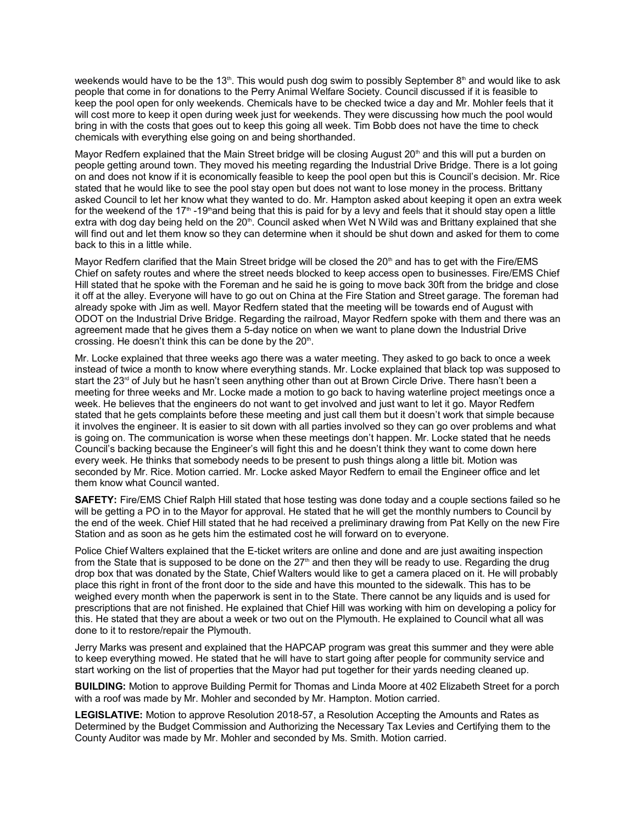weekends would have to be the 13th. This would push dog swim to possibly September  $8<sup>th</sup>$  and would like to ask people that come in for donations to the Perry Animal Welfare Society. Council discussed if it is feasible to keep the pool open for only weekends. Chemicals have to be checked twice a day and Mr. Mohler feels that it will cost more to keep it open during week just for weekends. They were discussing how much the pool would bring in with the costs that goes out to keep this going all week. Tim Bobb does not have the time to check chemicals with everything else going on and being shorthanded.

Mayor Redfern explained that the Main Street bridge will be closing August 20<sup>th</sup> and this will put a burden on people getting around town. They moved his meeting regarding the Industrial Drive Bridge. There is a lot going on and does not know if it is economically feasible to keep the pool open but this is Council's decision. Mr. Rice stated that he would like to see the pool stay open but does not want to lose money in the process. Brittany asked Council to let her know what they wanted to do. Mr. Hampton asked about keeping it open an extra week for the weekend of the 17<sup>th</sup> -19<sup>th</sup> and being that this is paid for by a levy and feels that it should stay open a little extra with dog day being held on the 20ʰ. Council asked when Wet N Wild was and Brittany explained that she will find out and let them know so they can determine when it should be shut down and asked for them to come back to this in a little while.

Mayor Redfern clarified that the Main Street bridge will be closed the 20<sup>th</sup> and has to get with the Fire/EMS Chief on safety routes and where the street needs blocked to keep access open to businesses. Fire/EMS Chief Hill stated that he spoke with the Foreman and he said he is going to move back 30ft from the bridge and close it off at the alley. Everyone will have to go out on China at the Fire Station and Street garage. The foreman had already spoke with Jim as well. Mayor Redfern stated that the meeting will be towards end of August with ODOT on the Industrial Drive Bridge. Regarding the railroad, Mayor Redfern spoke with them and there was an agreement made that he gives them a 5-day notice on when we want to plane down the Industrial Drive crossing. He doesn't think this can be done by the  $20<sup>th</sup>$ .

Mr. Locke explained that three weeks ago there was a water meeting. They asked to go back to once a week instead of twice a month to know where everything stands. Mr. Locke explained that black top was supposed to start the 23<sup>rd</sup> of July but he hasn't seen anything other than out at Brown Circle Drive. There hasn't been a meeting for three weeks and Mr. Locke made a motion to go back to having waterline project meetings once a week. He believes that the engineers do not want to get involved and just want to let it go. Mayor Redfern stated that he gets complaints before these meeting and just call them but it doesn't work that simple because it involves the engineer. It is easier to sit down with all parties involved so they can go over problems and what is going on. The communication is worse when these meetings don't happen. Mr. Locke stated that he needs Council's backing because the Engineer's will fight this and he doesn't think they want to come down here every week. He thinks that somebody needs to be present to push things along a little bit. Motion was seconded by Mr. Rice. Motion carried. Mr. Locke asked Mayor Redfern to email the Engineer office and let them know what Council wanted.

**SAFETY:** Fire/EMS Chief Ralph Hill stated that hose testing was done today and a couple sections failed so he will be getting a PO in to the Mayor for approval. He stated that he will get the monthly numbers to Council by the end of the week. Chief Hill stated that he had received a preliminary drawing from Pat Kelly on the new Fire Station and as soon as he gets him the estimated cost he will forward on to everyone.

Police Chief Walters explained that the E-ticket writers are online and done and are just awaiting inspection from the State that is supposed to be done on the  $27<sup>th</sup>$  and then they will be ready to use. Regarding the drug drop box that was donated by the State, Chief Walters would like to get a camera placed on it. He will probably place this right in front of the front door to the side and have this mounted to the sidewalk. This has to be weighed every month when the paperwork is sent in to the State. There cannot be any liquids and is used for prescriptions that are not finished. He explained that Chief Hill was working with him on developing a policy for this. He stated that they are about a week or two out on the Plymouth. He explained to Council what all was done to it to restore/repair the Plymouth.

Jerry Marks was present and explained that the HAPCAP program was great this summer and they were able to keep everything mowed. He stated that he will have to start going after people for community service and start working on the list of properties that the Mayor had put together for their yards needing cleaned up.

**BUILDING:** Motion to approve Building Permit for Thomas and Linda Moore at 402 Elizabeth Street for a porch with a roof was made by Mr. Mohler and seconded by Mr. Hampton. Motion carried.

**LEGISLATIVE:** Motion to approve Resolution 2018-57, a Resolution Accepting the Amounts and Rates as Determined by the Budget Commission and Authorizing the Necessary Tax Levies and Certifying them to the County Auditor was made by Mr. Mohler and seconded by Ms. Smith. Motion carried.